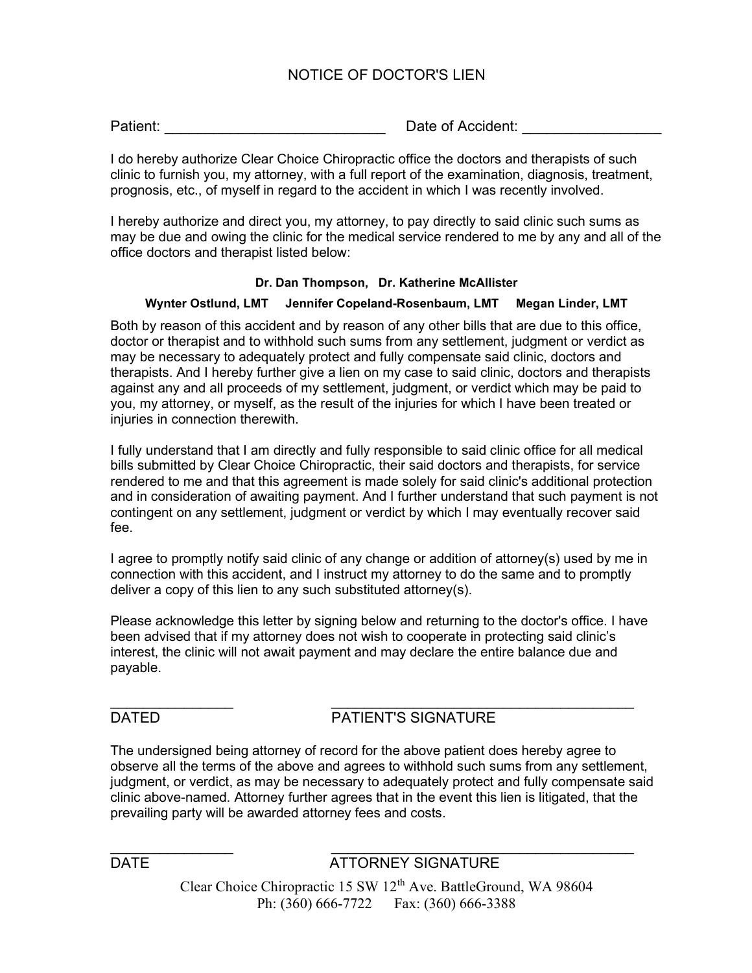# NOTICE OF DOCTOR'S LIEN

Patient: example and the contract of Accident:  $\Box$  Date of Accident:

I do hereby authorize Clear Choice Chiropractic office the doctors and therapists of such clinic to furnish you, my attorney, with a full report of the examination, diagnosis, treatment, prognosis, etc., of myself in regard to the accident in which I was recently involved.

I hereby authorize and direct you, my attorney, to pay directly to said clinic such sums as may be due and owing the clinic for the medical service rendered to me by any and all of the office doctors and therapist listed below:

### Dr. Dan Thompson, Dr. Katherine McAllister

### Wynter Ostlund, LMT Jennifer Copeland-Rosenbaum, LMT Megan Linder, LMT

Both by reason of this accident and by reason of any other bills that are due to this office, doctor or therapist and to withhold such sums from any settlement, judgment or verdict as may be necessary to adequately protect and fully compensate said clinic, doctors and therapists. And I hereby further give a lien on my case to said clinic, doctors and therapists against any and all proceeds of my settlement, judgment, or verdict which may be paid to you, my attorney, or myself, as the result of the injuries for which I have been treated or injuries in connection therewith.

I fully understand that I am directly and fully responsible to said clinic office for all medical bills submitted by Clear Choice Chiropractic, their said doctors and therapists, for service rendered to me and that this agreement is made solely for said clinic's additional protection and in consideration of awaiting payment. And I further understand that such payment is not contingent on any settlement, judgment or verdict by which I may eventually recover said fee.

I agree to promptly notify said clinic of any change or addition of attorney(s) used by me in connection with this accident, and I instruct my attorney to do the same and to promptly deliver a copy of this lien to any such substituted attorney(s).

Please acknowledge this letter by signing below and returning to the doctor's office. I have been advised that if my attorney does not wish to cooperate in protecting said clinic's interest, the clinic will not await payment and may declare the entire balance due and payable.

 $\frac{1}{2}$  ,  $\frac{1}{2}$  ,  $\frac{1}{2}$  ,  $\frac{1}{2}$  ,  $\frac{1}{2}$  ,  $\frac{1}{2}$  ,  $\frac{1}{2}$  ,  $\frac{1}{2}$  ,  $\frac{1}{2}$  ,  $\frac{1}{2}$  ,  $\frac{1}{2}$  ,  $\frac{1}{2}$  ,  $\frac{1}{2}$  ,  $\frac{1}{2}$  ,  $\frac{1}{2}$  ,  $\frac{1}{2}$  ,  $\frac{1}{2}$  ,  $\frac{1}{2}$  ,  $\frac{1$ 

# DATED **PATIENT'S SIGNATURE**

The undersigned being attorney of record for the above patient does hereby agree to observe all the terms of the above and agrees to withhold such sums from any settlement, judgment, or verdict, as may be necessary to adequately protect and fully compensate said clinic above-named. Attorney further agrees that in the event this lien is litigated, that the prevailing party will be awarded attorney fees and costs.

 $\frac{1}{2}$  ,  $\frac{1}{2}$  ,  $\frac{1}{2}$  ,  $\frac{1}{2}$  ,  $\frac{1}{2}$  ,  $\frac{1}{2}$  ,  $\frac{1}{2}$  ,  $\frac{1}{2}$  ,  $\frac{1}{2}$  ,  $\frac{1}{2}$  ,  $\frac{1}{2}$  ,  $\frac{1}{2}$  ,  $\frac{1}{2}$  ,  $\frac{1}{2}$  ,  $\frac{1}{2}$  ,  $\frac{1}{2}$  ,  $\frac{1}{2}$  ,  $\frac{1}{2}$  ,  $\frac{1$ 

DATE **ATTORNEY SIGNATURE** 

Clear Choice Chiropractic 15 SW 12<sup>th</sup> Ave. BattleGround, WA 98604 Ph: (360) 666-7722 Fax: (360) 666-3388